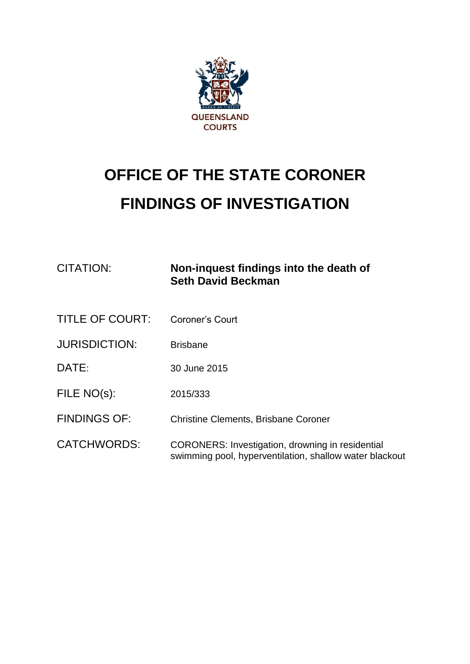

# **OFFICE OF THE STATE CORONER FINDINGS OF INVESTIGATION**

| <b>CITATION:</b>       | Non-inquest findings into the death of<br><b>Seth David Beckman</b>                                                |
|------------------------|--------------------------------------------------------------------------------------------------------------------|
| <b>TITLE OF COURT:</b> | <b>Coroner's Court</b>                                                                                             |
| <b>JURISDICTION:</b>   | <b>Brisbane</b>                                                                                                    |
| DATE:                  | 30 June 2015                                                                                                       |
| FILE NO(s):            | 2015/333                                                                                                           |
| <b>FINDINGS OF:</b>    | <b>Christine Clements, Brisbane Coroner</b>                                                                        |
| <b>CATCHWORDS:</b>     | <b>CORONERS: Investigation, drowning in residential</b><br>swimming pool, hyperventilation, shallow water blackout |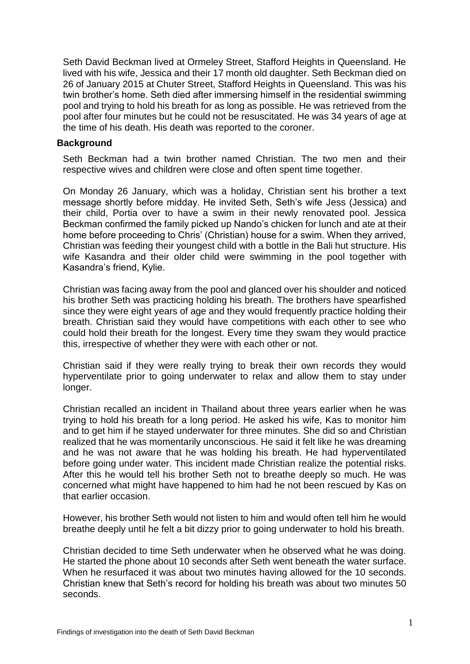Seth David Beckman lived at Ormeley Street, Stafford Heights in Queensland. He lived with his wife, Jessica and their 17 month old daughter. Seth Beckman died on 26 of January 2015 at Chuter Street, Stafford Heights in Queensland. This was his twin brother's home. Seth died after immersing himself in the residential swimming pool and trying to hold his breath for as long as possible. He was retrieved from the pool after four minutes but he could not be resuscitated. He was 34 years of age at the time of his death. His death was reported to the coroner.

#### **Background**

Seth Beckman had a twin brother named Christian. The two men and their respective wives and children were close and often spent time together.

On Monday 26 January, which was a holiday, Christian sent his brother a text message shortly before midday. He invited Seth, Seth's wife Jess (Jessica) and their child, Portia over to have a swim in their newly renovated pool. Jessica Beckman confirmed the family picked up Nando's chicken for lunch and ate at their home before proceeding to Chris' (Christian) house for a swim. When they arrived, Christian was feeding their youngest child with a bottle in the Bali hut structure. His wife Kasandra and their older child were swimming in the pool together with Kasandra's friend, Kylie.

Christian was facing away from the pool and glanced over his shoulder and noticed his brother Seth was practicing holding his breath. The brothers have spearfished since they were eight years of age and they would frequently practice holding their breath. Christian said they would have competitions with each other to see who could hold their breath for the longest. Every time they swam they would practice this, irrespective of whether they were with each other or not.

Christian said if they were really trying to break their own records they would hyperventilate prior to going underwater to relax and allow them to stay under longer.

Christian recalled an incident in Thailand about three years earlier when he was trying to hold his breath for a long period. He asked his wife, Kas to monitor him and to get him if he stayed underwater for three minutes. She did so and Christian realized that he was momentarily unconscious. He said it felt like he was dreaming and he was not aware that he was holding his breath. He had hyperventilated before going under water. This incident made Christian realize the potential risks. After this he would tell his brother Seth not to breathe deeply so much. He was concerned what might have happened to him had he not been rescued by Kas on that earlier occasion.

However, his brother Seth would not listen to him and would often tell him he would breathe deeply until he felt a bit dizzy prior to going underwater to hold his breath.

Christian decided to time Seth underwater when he observed what he was doing. He started the phone about 10 seconds after Seth went beneath the water surface. When he resurfaced it was about two minutes having allowed for the 10 seconds. Christian knew that Seth's record for holding his breath was about two minutes 50 seconds.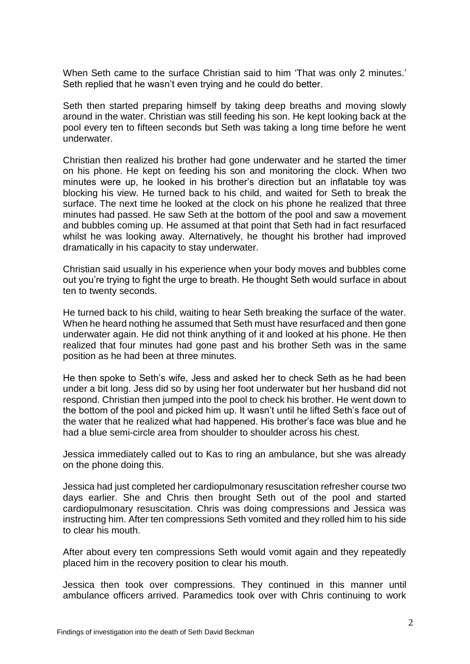When Seth came to the surface Christian said to him 'That was only 2 minutes.' Seth replied that he wasn't even trying and he could do better.

Seth then started preparing himself by taking deep breaths and moving slowly around in the water. Christian was still feeding his son. He kept looking back at the pool every ten to fifteen seconds but Seth was taking a long time before he went underwater.

Christian then realized his brother had gone underwater and he started the timer on his phone. He kept on feeding his son and monitoring the clock. When two minutes were up, he looked in his brother's direction but an inflatable toy was blocking his view. He turned back to his child, and waited for Seth to break the surface. The next time he looked at the clock on his phone he realized that three minutes had passed. He saw Seth at the bottom of the pool and saw a movement and bubbles coming up. He assumed at that point that Seth had in fact resurfaced whilst he was looking away. Alternatively, he thought his brother had improved dramatically in his capacity to stay underwater.

Christian said usually in his experience when your body moves and bubbles come out you're trying to fight the urge to breath. He thought Seth would surface in about ten to twenty seconds.

He turned back to his child, waiting to hear Seth breaking the surface of the water. When he heard nothing he assumed that Seth must have resurfaced and then gone underwater again. He did not think anything of it and looked at his phone. He then realized that four minutes had gone past and his brother Seth was in the same position as he had been at three minutes.

He then spoke to Seth's wife, Jess and asked her to check Seth as he had been under a bit long. Jess did so by using her foot underwater but her husband did not respond. Christian then jumped into the pool to check his brother. He went down to the bottom of the pool and picked him up. It wasn't until he lifted Seth's face out of the water that he realized what had happened. His brother's face was blue and he had a blue semi-circle area from shoulder to shoulder across his chest.

Jessica immediately called out to Kas to ring an ambulance, but she was already on the phone doing this.

Jessica had just completed her cardiopulmonary resuscitation refresher course two days earlier. She and Chris then brought Seth out of the pool and started cardiopulmonary resuscitation. Chris was doing compressions and Jessica was instructing him. After ten compressions Seth vomited and they rolled him to his side to clear his mouth.

After about every ten compressions Seth would vomit again and they repeatedly placed him in the recovery position to clear his mouth.

Jessica then took over compressions. They continued in this manner until ambulance officers arrived. Paramedics took over with Chris continuing to work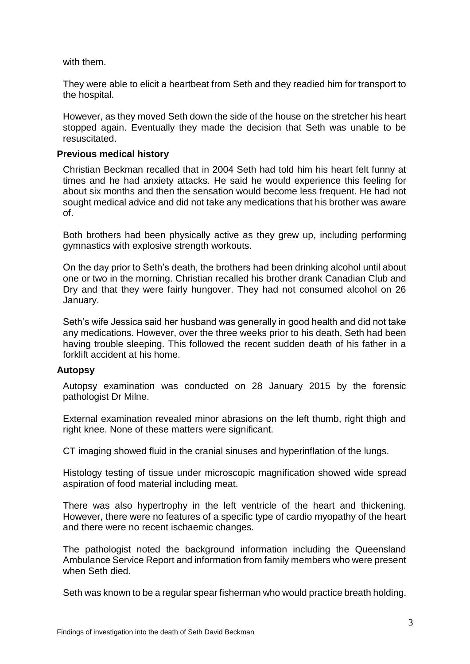with them.

They were able to elicit a heartbeat from Seth and they readied him for transport to the hospital.

However, as they moved Seth down the side of the house on the stretcher his heart stopped again. Eventually they made the decision that Seth was unable to be resuscitated.

### **Previous medical history**

Christian Beckman recalled that in 2004 Seth had told him his heart felt funny at times and he had anxiety attacks. He said he would experience this feeling for about six months and then the sensation would become less frequent. He had not sought medical advice and did not take any medications that his brother was aware of.

Both brothers had been physically active as they grew up, including performing gymnastics with explosive strength workouts.

On the day prior to Seth's death, the brothers had been drinking alcohol until about one or two in the morning. Christian recalled his brother drank Canadian Club and Dry and that they were fairly hungover. They had not consumed alcohol on 26 January.

Seth's wife Jessica said her husband was generally in good health and did not take any medications. However, over the three weeks prior to his death, Seth had been having trouble sleeping. This followed the recent sudden death of his father in a forklift accident at his home.

## **Autopsy**

Autopsy examination was conducted on 28 January 2015 by the forensic pathologist Dr Milne.

External examination revealed minor abrasions on the left thumb, right thigh and right knee. None of these matters were significant.

CT imaging showed fluid in the cranial sinuses and hyperinflation of the lungs.

Histology testing of tissue under microscopic magnification showed wide spread aspiration of food material including meat.

There was also hypertrophy in the left ventricle of the heart and thickening. However, there were no features of a specific type of cardio myopathy of the heart and there were no recent ischaemic changes.

The pathologist noted the background information including the Queensland Ambulance Service Report and information from family members who were present when Seth died.

Seth was known to be a regular spear fisherman who would practice breath holding.